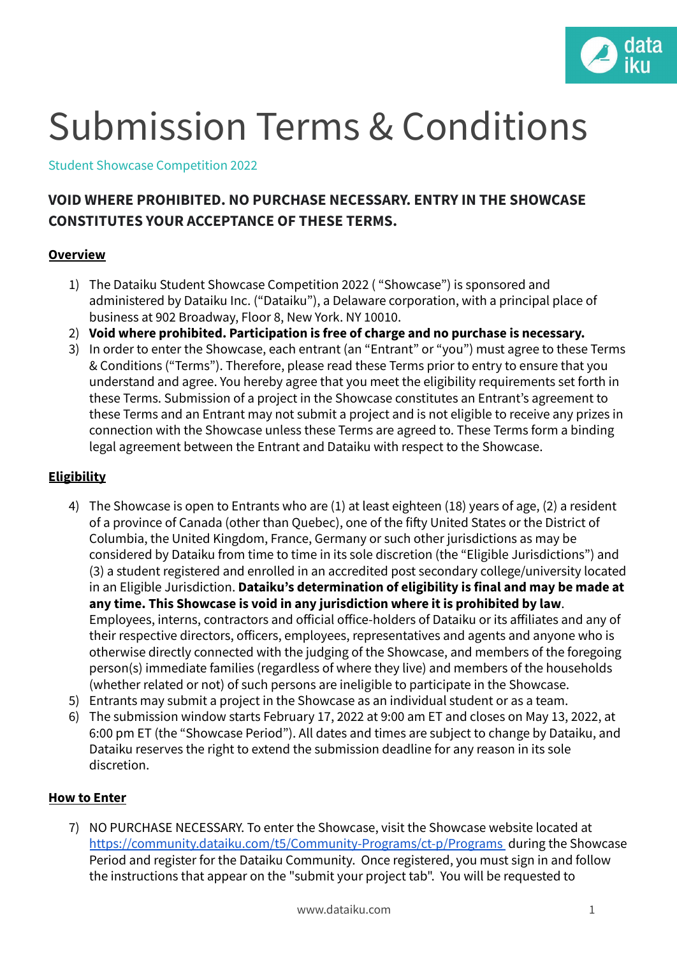

# Submission Terms & Conditions

Student Showcase Competition 2022

# **VOID WHERE PROHIBITED. NO PURCHASE NECESSARY. ENTRY IN THE SHOWCASE CONSTITUTES YOUR ACCEPTANCE OF THESE TERMS.**

#### **Overview**

- 1) The Dataiku Student Showcase Competition 2022 ( "Showcase") is sponsored and administered by Dataiku Inc. ("Dataiku"), a Delaware corporation, with a principal place of business at 902 Broadway, Floor 8, New York. NY 10010.
- 2) **Void where prohibited. Participation is free of charge and no purchase is necessary.**
- 3) In order to enter the Showcase, each entrant (an "Entrant" or "you") must agree to these Terms & Conditions ("Terms"). Therefore, please read these Terms prior to entry to ensure that you understand and agree. You hereby agree that you meet the eligibility requirements set forth in these Terms. Submission of a project in the Showcase constitutes an Entrant's agreement to these Terms and an Entrant may not submit a project and is not eligible to receive any prizes in connection with the Showcase unless these Terms are agreed to. These Terms form a binding legal agreement between the Entrant and Dataiku with respect to the Showcase.

## **Eligibility**

- 4) The Showcase is open to Entrants who are (1) at least eighteen (18) years of age, (2) a resident of a province of Canada (other than Quebec), one of the fifty United States or the District of Columbia, the United Kingdom, France, Germany or such other jurisdictions as may be considered by Dataiku from time to time in its sole discretion (the "Eligible Jurisdictions") and (3) a student registered and enrolled in an accredited post secondary college/university located in an Eligible Jurisdiction. **Dataiku's determination of eligibility is final and may be made at any time. This Showcase is void in any jurisdiction where it is prohibited by law**. Employees, interns, contractors and official office-holders of Dataiku or its affiliates and any of their respective directors, officers, employees, representatives and agents and anyone who is otherwise directly connected with the judging of the Showcase, and members of the foregoing person(s) immediate families (regardless of where they live) and members of the households (whether related or not) of such persons are ineligible to participate in the Showcase.
- 5) Entrants may submit a project in the Showcase as an individual student or as a team.
- 6) The submission window starts February 17, 2022 at 9:00 am ET and closes on May 13, 2022, at 6:00 pm ET (the "Showcase Period"). All dates and times are subject to change by Dataiku, and Dataiku reserves the right to extend the submission deadline for any reason in its sole discretion.

#### **How to Enter**

7) NO PURCHASE NECESSARY. To enter the Showcase, visit the Showcase website located a[t](https://community.dataiku.com/t5/Community-Programs/ct-p/Programs) <https://community.dataiku.com/t5/Community-Programs/ct-p/Programs> during the Showcase Period and register for the Dataiku Community. Once registered, you must sign in and follow the instructions that appear on the "submit your project tab". You will be requested to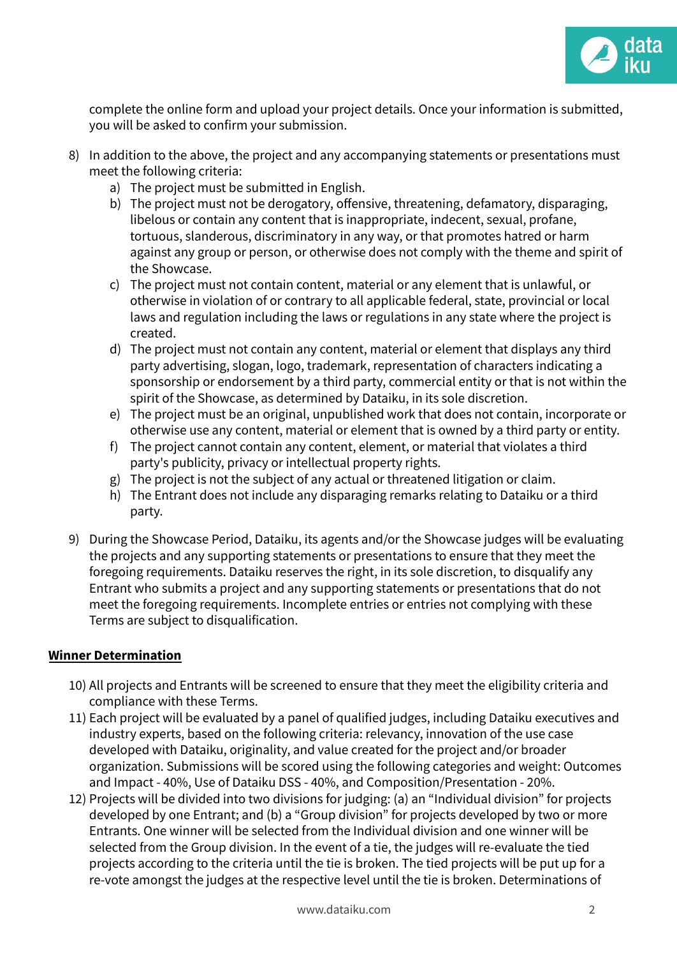

complete the online form and upload your project details. Once your information is submitted, you will be asked to confirm your submission.

- 8) In addition to the above, the project and any accompanying statements or presentations must meet the following criteria:
	- a) The project must be submitted in English.
	- b) The project must not be derogatory, offensive, threatening, defamatory, disparaging, libelous or contain any content that is inappropriate, indecent, sexual, profane, tortuous, slanderous, discriminatory in any way, or that promotes hatred or harm against any group or person, or otherwise does not comply with the theme and spirit of the Showcase.
	- c) The project must not contain content, material or any element that is unlawful, or otherwise in violation of or contrary to all applicable federal, state, provincial or local laws and regulation including the laws or regulations in any state where the project is created.
	- d) The project must not contain any content, material or element that displays any third party advertising, slogan, logo, trademark, representation of characters indicating a sponsorship or endorsement by a third party, commercial entity or that is not within the spirit of the Showcase, as determined by Dataiku, in its sole discretion.
	- e) The project must be an original, unpublished work that does not contain, incorporate or otherwise use any content, material or element that is owned by a third party or entity.
	- f) The project cannot contain any content, element, or material that violates a third party's publicity, privacy or intellectual property rights.
	- g) The project is not the subject of any actual or threatened litigation or claim.
	- h) The Entrant does not include any disparaging remarks relating to Dataiku or a third party.
- 9) During the Showcase Period, Dataiku, its agents and/or the Showcase judges will be evaluating the projects and any supporting statements or presentations to ensure that they meet the foregoing requirements. Dataiku reserves the right, in its sole discretion, to disqualify any Entrant who submits a project and any supporting statements or presentations that do not meet the foregoing requirements. Incomplete entries or entries not complying with these Terms are subject to disqualification.

# **Winner Determination**

- 10) All projects and Entrants will be screened to ensure that they meet the eligibility criteria and compliance with these Terms.
- 11) Each project will be evaluated by a panel of qualified judges, including Dataiku executives and industry experts, based on the following criteria: relevancy, innovation of the use case developed with Dataiku, originality, and value created for the project and/or broader organization. Submissions will be scored using the following categories and weight: Outcomes and Impact - 40%, Use of Dataiku DSS - 40%, and Composition/Presentation - 20%.
- 12) Projects will be divided into two divisions for judging: (a) an "Individual division" for projects developed by one Entrant; and (b) a "Group division" for projects developed by two or more Entrants. One winner will be selected from the Individual division and one winner will be selected from the Group division. In the event of a tie, the judges will re-evaluate the tied projects according to the criteria until the tie is broken. The tied projects will be put up for a re-vote amongst the judges at the respective level until the tie is broken. Determinations of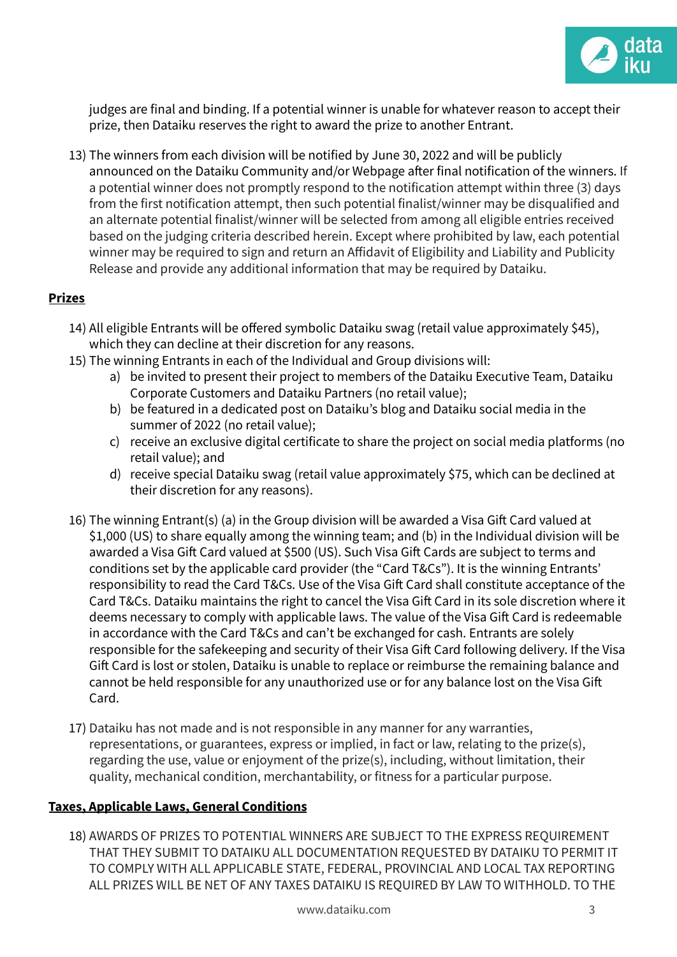

judges are final and binding. If a potential winner is unable for whatever reason to accept their prize, then Dataiku reserves the right to award the prize to another Entrant.

13) The winners from each division will be notified by June 30, 2022 and will be publicly announced on the Dataiku Community and/or Webpage after final notification of the winners. If a potential winner does not promptly respond to the notification attempt within three (3) days from the first notification attempt, then such potential finalist/winner may be disqualified and an alternate potential finalist/winner will be selected from among all eligible entries received based on the judging criteria described herein. Except where prohibited by law, each potential winner may be required to sign and return an Affidavit of Eligibility and Liability and Publicity Release and provide any additional information that may be required by Dataiku.

## **Prizes**

- 14) All eligible Entrants will be offered symbolic Dataiku swag (retail value approximately \$45), which they can decline at their discretion for any reasons.
- 15) The winning Entrants in each of the Individual and Group divisions will:
	- a) be invited to present their project to members of the Dataiku Executive Team, Dataiku Corporate Customers and Dataiku Partners (no retail value);
	- b) be featured in a dedicated post on Dataiku's blog and Dataiku social media in the summer of 2022 (no retail value);
	- c) receive an exclusive digital certificate to share the project on social media platforms (no retail value); and
	- d) receive special Dataiku swag (retail value approximately \$75, which can be declined at their discretion for any reasons).
- 16) The winning Entrant(s) (a) in the Group division will be awarded a Visa Gift Card valued at \$1,000 (US) to share equally among the winning team; and (b) in the Individual division will be awarded a Visa Gift Card valued at \$500 (US). Such Visa Gift Cards are subject to terms and conditions set by the applicable card provider (the "Card T&Cs"). It is the winning Entrants' responsibility to read the Card T&Cs. Use of the Visa Gift Card shall constitute acceptance of the Card T&Cs. Dataiku maintains the right to cancel the Visa Gift Card in its sole discretion where it deems necessary to comply with applicable laws. The value of the Visa Gift Card is redeemable in accordance with the Card T&Cs and can't be exchanged for cash. Entrants are solely responsible for the safekeeping and security of their Visa Gift Card following delivery. If the Visa Gift Card is lost or stolen, Dataiku is unable to replace or reimburse the remaining balance and cannot be held responsible for any unauthorized use or for any balance lost on the Visa Gift Card.
- 17) Dataiku has not made and is not responsible in any manner for any warranties, representations, or guarantees, express or implied, in fact or law, relating to the prize(s), regarding the use, value or enjoyment of the prize(s), including, without limitation, their quality, mechanical condition, merchantability, or fitness for a particular purpose.

#### **Taxes, Applicable Laws, General Conditions**

18) AWARDS OF PRIZES TO POTENTIAL WINNERS ARE SUBJECT TO THE EXPRESS REQUIREMENT THAT THEY SUBMIT TO DATAIKU ALL DOCUMENTATION REQUESTED BY DATAIKU TO PERMIT IT TO COMPLY WITH ALL APPLICABLE STATE, FEDERAL, PROVINCIAL AND LOCAL TAX REPORTING ALL PRIZES WILL BE NET OF ANY TAXES DATAIKU IS REQUIRED BY LAW TO WITHHOLD. TO THE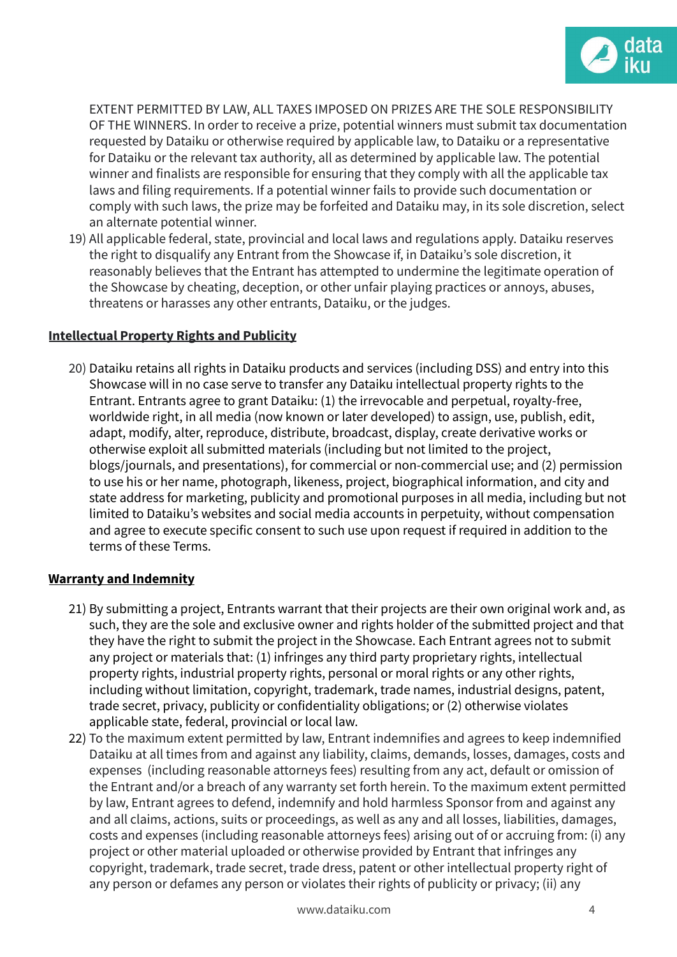

EXTENT PERMITTED BY LAW, ALL TAXES IMPOSED ON PRIZES ARE THE SOLE RESPONSIBILITY OF THE WINNERS. In order to receive a prize, potential winners must submit tax documentation requested by Dataiku or otherwise required by applicable law, to Dataiku or a representative for Dataiku or the relevant tax authority, all as determined by applicable law. The potential winner and finalists are responsible for ensuring that they comply with all the applicable tax laws and filing requirements. If a potential winner fails to provide such documentation or comply with such laws, the prize may be forfeited and Dataiku may, in its sole discretion, select an alternate potential winner.

19) All applicable federal, state, provincial and local laws and regulations apply. Dataiku reserves the right to disqualify any Entrant from the Showcase if, in Dataiku's sole discretion, it reasonably believes that the Entrant has attempted to undermine the legitimate operation of the Showcase by cheating, deception, or other unfair playing practices or annoys, abuses, threatens or harasses any other entrants, Dataiku, or the judges.

## **Intellectual Property Rights and Publicity**

20) Dataiku retains all rights in Dataiku products and services (including DSS) and entry into this Showcase will in no case serve to transfer any Dataiku intellectual property rights to the Entrant. Entrants agree to grant Dataiku: (1) the irrevocable and perpetual, royalty-free, worldwide right, in all media (now known or later developed) to assign, use, publish, edit, adapt, modify, alter, reproduce, distribute, broadcast, display, create derivative works or otherwise exploit all submitted materials (including but not limited to the project, blogs/journals, and presentations), for commercial or non-commercial use; and (2) permission to use his or her name, photograph, likeness, project, biographical information, and city and state address for marketing, publicity and promotional purposes in all media, including but not limited to Dataiku's websites and social media accounts in perpetuity, without compensation and agree to execute specific consent to such use upon request if required in addition to the terms of these Terms.

#### **Warranty and Indemnity**

- 21) By submitting a project, Entrants warrant that their projects are their own original work and, as such, they are the sole and exclusive owner and rights holder of the submitted project and that they have the right to submit the project in the Showcase. Each Entrant agrees not to submit any project or materials that: (1) infringes any third party proprietary rights, intellectual property rights, industrial property rights, personal or moral rights or any other rights, including without limitation, copyright, trademark, trade names, industrial designs, patent, trade secret, privacy, publicity or confidentiality obligations; or (2) otherwise violates applicable state, federal, provincial or local law.
- 22) To the maximum extent permitted by law, Entrant indemnifies and agrees to keep indemnified Dataiku at all times from and against any liability, claims, demands, losses, damages, costs and expenses (including reasonable attorneys fees) resulting from any act, default or omission of the Entrant and/or a breach of any warranty set forth herein. To the maximum extent permitted by law, Entrant agrees to defend, indemnify and hold harmless Sponsor from and against any and all claims, actions, suits or proceedings, as well as any and all losses, liabilities, damages, costs and expenses (including reasonable attorneys fees) arising out of or accruing from: (i) any project or other material uploaded or otherwise provided by Entrant that infringes any copyright, trademark, trade secret, trade dress, patent or other intellectual property right of any person or defames any person or violates their rights of publicity or privacy; (ii) any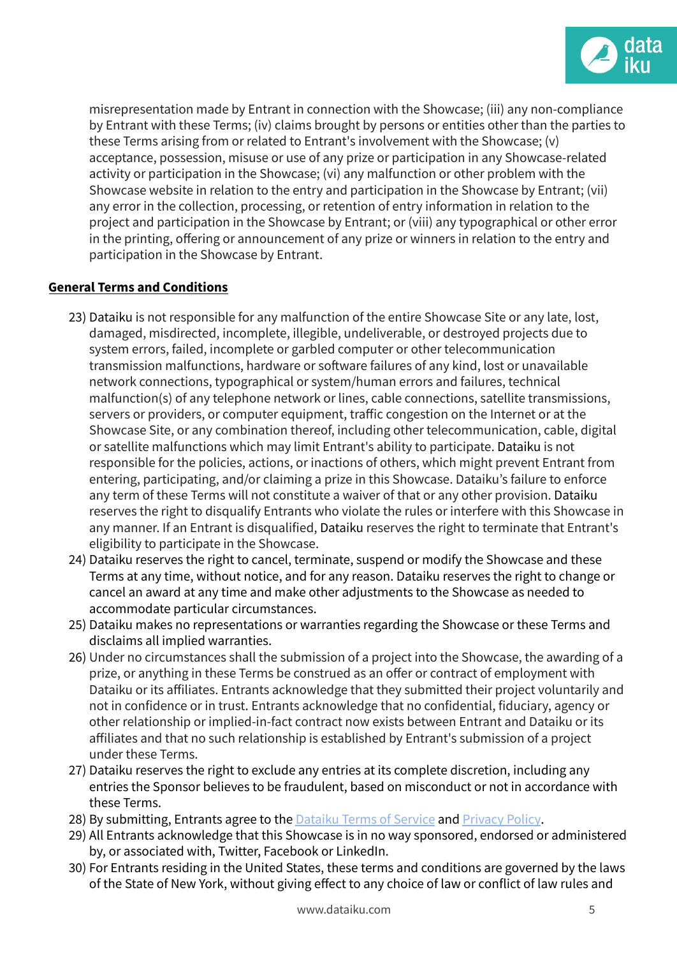

misrepresentation made by Entrant in connection with the Showcase; (iii) any non-compliance by Entrant with these Terms; (iv) claims brought by persons or entities other than the parties to these Terms arising from or related to Entrant's involvement with the Showcase; (v) acceptance, possession, misuse or use of any prize or participation in any Showcase-related activity or participation in the Showcase; (vi) any malfunction or other problem with the Showcase website in relation to the entry and participation in the Showcase by Entrant; (vii) any error in the collection, processing, or retention of entry information in relation to the project and participation in the Showcase by Entrant; or (viii) any typographical or other error in the printing, offering or announcement of any prize or winners in relation to the entry and participation in the Showcase by Entrant.

#### **General Terms and Conditions**

- 23) Dataiku is not responsible for any malfunction of the entire Showcase Site or any late, lost, damaged, misdirected, incomplete, illegible, undeliverable, or destroyed projects due to system errors, failed, incomplete or garbled computer or other telecommunication transmission malfunctions, hardware or software failures of any kind, lost or unavailable network connections, typographical or system/human errors and failures, technical malfunction(s) of any telephone network or lines, cable connections, satellite transmissions, servers or providers, or computer equipment, traffic congestion on the Internet or at the Showcase Site, or any combination thereof, including other telecommunication, cable, digital or satellite malfunctions which may limit Entrant's ability to participate. Dataiku is not responsible for the policies, actions, or inactions of others, which might prevent Entrant from entering, participating, and/or claiming a prize in this Showcase. Dataiku's failure to enforce any term of these Terms will not constitute a waiver of that or any other provision. Dataiku reserves the right to disqualify Entrants who violate the rules or interfere with this Showcase in any manner. If an Entrant is disqualified, Dataiku reserves the right to terminate that Entrant's eligibility to participate in the Showcase.
- 24) Dataiku reserves the right to cancel, terminate, suspend or modify the Showcase and these Terms at any time, without notice, and for any reason. Dataiku reserves the right to change or cancel an award at any time and make other adjustments to the Showcase as needed to accommodate particular circumstances.
- 25) Dataiku makes no representations or warranties regarding the Showcase or these Terms and disclaims all implied warranties.
- 26) Under no circumstances shall the submission of a project into the Showcase, the awarding of a prize, or anything in these Terms be construed as an offer or contract of employment with Dataiku or its affiliates. Entrants acknowledge that they submitted their project voluntarily and not in confidence or in trust. Entrants acknowledge that no confidential, fiduciary, agency or other relationship or implied-in-fact contract now exists between Entrant and Dataiku or its affiliates and that no such relationship is established by Entrant's submission of a project under these Terms.
- 27) Dataiku reserves the right to exclude any entries at its complete discretion, including any entries the Sponsor believes to be fraudulent, based on misconduct or not in accordance with these Terms.
- 28) By submitting, Entrants agree to the [Dataiku](https://www.dataiku.com/dataiku-terms-of-service/) Terms of Service and [Privacy](https://www.dataiku.com/privacy/) Policy.
- 29) All Entrants acknowledge that this Showcase is in no way sponsored, endorsed or administered by, or associated with, Twitter, Facebook or LinkedIn.
- 30) For Entrants residing in the United States, these terms and conditions are governed by the laws of the State of New York, without giving effect to any choice of law or conflict of law rules and